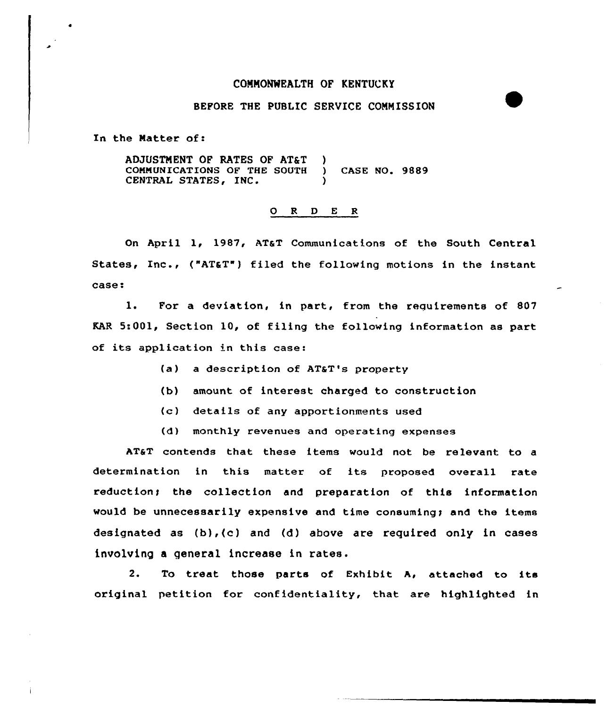## COMMONWEALTH OF KENTUCKY

## BEFORE THE PUBLIC SERVICE COMMISSION

In the Natter of:

ADJUSTMENT OF RATES OF AT&T CONMUNICATIONS OF THE SOOTH CENTRAL STATES, INC. ) ) CASE NO. 9889 )

## 0 <sup>R</sup> <sup>D</sup> <sup>E</sup> <sup>R</sup>

On April 1, 1987, ATaT Communications of the South Central States, Inc., ("AT&T") filed the following motions in the instant case:

1. For a deviation, in part, from the requirements of 807 KAR 5:001, Section 10, of filing the following information as part of its application in this case:

- (a) a description of AT&T's property
- (b) amount of interest charged to construction
- (c) details of any apportionments used
- (d) monthly revenues and operating expenses

AT&T contends that these items would not be relevant to a determination in this matter of its proposed overall rate reduction; the collection and preparation of this information would be unnecessarily expensive and time consuming; and the items designated as (b),(c) and (d) above are required only in cases involving <sup>a</sup> general increase in rates.

2. To treat those parts of Exhibit A, attached to its original petition for confidentiality, that are highlighted in